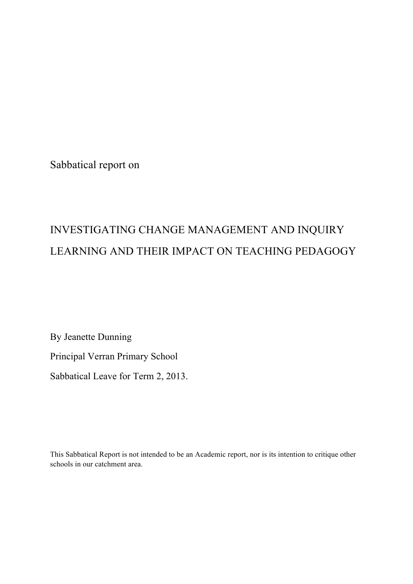Sabbatical report on

# INVESTIGATING CHANGE MANAGEMENT AND INQUIRY LEARNING AND THEIR IMPACT ON TEACHING PEDAGOGY

By Jeanette Dunning

Principal Verran Primary School

Sabbatical Leave for Term 2, 2013.

This Sabbatical Report is not intended to be an Academic report, nor is its intention to critique other schools in our catchment area.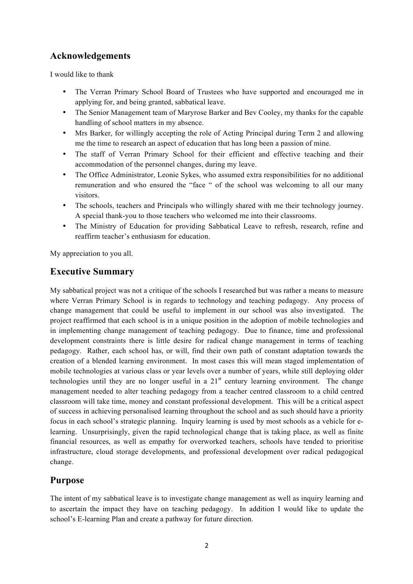## **Acknowledgements**

I would like to thank

- The Verran Primary School Board of Trustees who have supported and encouraged me in applying for, and being granted, sabbatical leave.
- The Senior Management team of Maryrose Barker and Bev Cooley, my thanks for the capable handling of school matters in my absence.
- Mrs Barker, for willingly accepting the role of Acting Principal during Term 2 and allowing me the time to research an aspect of education that has long been a passion of mine.
- The staff of Verran Primary School for their efficient and effective teaching and their accommodation of the personnel changes, during my leave.
- The Office Administrator, Leonie Sykes, who assumed extra responsibilities for no additional remuneration and who ensured the "face " of the school was welcoming to all our many visitors.
- The schools, teachers and Principals who willingly shared with me their technology journey. A special thank-you to those teachers who welcomed me into their classrooms.
- The Ministry of Education for providing Sabbatical Leave to refresh, research, refine and reaffirm teacher's enthusiasm for education.

My appreciation to you all.

## **Executive Summary**

My sabbatical project was not a critique of the schools I researched but was rather a means to measure where Verran Primary School is in regards to technology and teaching pedagogy. Any process of change management that could be useful to implement in our school was also investigated. The project reaffirmed that each school is in a unique position in the adoption of mobile technologies and in implementing change management of teaching pedagogy. Due to finance, time and professional development constraints there is little desire for radical change management in terms of teaching pedagogy. Rather, each school has, or will, find their own path of constant adaptation towards the creation of a blended learning environment. In most cases this will mean staged implementation of mobile technologies at various class or year levels over a number of years, while still deploying older technologies until they are no longer useful in a  $21<sup>st</sup>$  century learning environment. The change management needed to alter teaching pedagogy from a teacher centred classroom to a child centred classroom will take time, money and constant professional development. This will be a critical aspect of success in achieving personalised learning throughout the school and as such should have a priority focus in each school's strategic planning. Inquiry learning is used by most schools as a vehicle for elearning. Unsurprisingly, given the rapid technological change that is taking place, as well as finite financial resources, as well as empathy for overworked teachers, schools have tended to prioritise infrastructure, cloud storage developments, and professional development over radical pedagogical change.

## **Purpose**

The intent of my sabbatical leave is to investigate change management as well as inquiry learning and to ascertain the impact they have on teaching pedagogy. In addition I would like to update the school's E-learning Plan and create a pathway for future direction.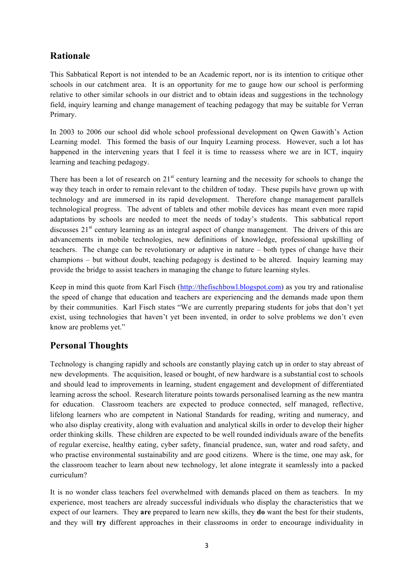## **Rationale**

This Sabbatical Report is not intended to be an Academic report, nor is its intention to critique other schools in our catchment area. It is an opportunity for me to gauge how our school is performing relative to other similar schools in our district and to obtain ideas and suggestions in the technology field, inquiry learning and change management of teaching pedagogy that may be suitable for Verran Primary.

In 2003 to 2006 our school did whole school professional development on Qwen Gawith's Action Learning model. This formed the basis of our Inquiry Learning process. However, such a lot has happened in the intervening years that I feel it is time to reassess where we are in ICT, inquiry learning and teaching pedagogy.

There has been a lot of research on  $21<sup>st</sup>$  century learning and the necessity for schools to change the way they teach in order to remain relevant to the children of today. These pupils have grown up with technology and are immersed in its rapid development. Therefore change management parallels technological progress. The advent of tablets and other mobile devices has meant even more rapid adaptations by schools are needed to meet the needs of today's students. This sabbatical report discusses  $21<sup>st</sup>$  century learning as an integral aspect of change management. The drivers of this are advancements in mobile technologies, new definitions of knowledge, professional upskilling of teachers. The change can be revolutionary or adaptive in nature – both types of change have their champions – but without doubt, teaching pedagogy is destined to be altered. Inquiry learning may provide the bridge to assist teachers in managing the change to future learning styles.

Keep in mind this quote from Karl Fisch (http://thefischbowl.blogspot.com) as you try and rationalise the speed of change that education and teachers are experiencing and the demands made upon them by their communities. Karl Fisch states "We are currently preparing students for jobs that don't yet exist, using technologies that haven't yet been invented, in order to solve problems we don't even know are problems yet."

## **Personal Thoughts**

Technology is changing rapidly and schools are constantly playing catch up in order to stay abreast of new developments. The acquisition, leased or bought, of new hardware is a substantial cost to schools and should lead to improvements in learning, student engagement and development of differentiated learning across the school. Research literature points towards personalised learning as the new mantra for education. Classroom teachers are expected to produce connected, self managed, reflective, lifelong learners who are competent in National Standards for reading, writing and numeracy, and who also display creativity, along with evaluation and analytical skills in order to develop their higher order thinking skills. These children are expected to be well rounded individuals aware of the benefits of regular exercise, healthy eating, cyber safety, financial prudence, sun, water and road safety, and who practise environmental sustainability and are good citizens. Where is the time, one may ask, for the classroom teacher to learn about new technology, let alone integrate it seamlessly into a packed curriculum?

It is no wonder class teachers feel overwhelmed with demands placed on them as teachers. In my experience, most teachers are already successful individuals who display the characteristics that we expect of our learners. They **are** prepared to learn new skills, they **do** want the best for their students, and they will **try** different approaches in their classrooms in order to encourage individuality in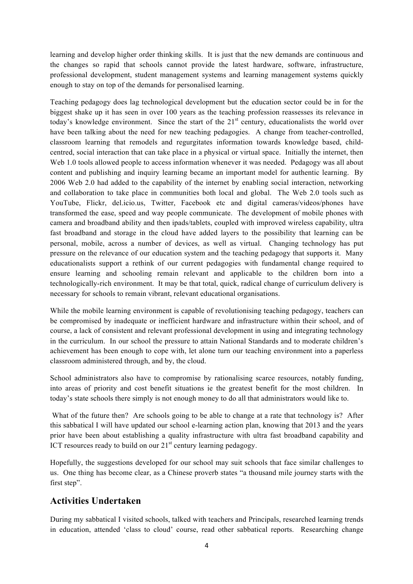learning and develop higher order thinking skills. It is just that the new demands are continuous and the changes so rapid that schools cannot provide the latest hardware, software, infrastructure, professional development, student management systems and learning management systems quickly enough to stay on top of the demands for personalised learning.

Teaching pedagogy does lag technological development but the education sector could be in for the biggest shake up it has seen in over 100 years as the teaching profession reassesses its relevance in today's knowledge environment. Since the start of the  $21<sup>st</sup>$  century, educationalists the world over have been talking about the need for new teaching pedagogies. A change from teacher-controlled, classroom learning that remodels and regurgitates information towards knowledge based, childcentred, social interaction that can take place in a physical or virtual space. Initially the internet, then Web 1.0 tools allowed people to access information whenever it was needed. Pedagogy was all about content and publishing and inquiry learning became an important model for authentic learning. By 2006 Web 2.0 had added to the capability of the internet by enabling social interaction, networking and collaboration to take place in communities both local and global. The Web 2.0 tools such as YouTube, Flickr, del.icio.us, Twitter, Facebook etc and digital cameras/videos/phones have transformed the ease, speed and way people communicate. The development of mobile phones with camera and broadband ability and then ipads/tablets, coupled with improved wireless capability, ultra fast broadband and storage in the cloud have added layers to the possibility that learning can be personal, mobile, across a number of devices, as well as virtual. Changing technology has put pressure on the relevance of our education system and the teaching pedagogy that supports it. Many educationalists support a rethink of our current pedagogies with fundamental change required to ensure learning and schooling remain relevant and applicable to the children born into a technologically-rich environment. It may be that total, quick, radical change of curriculum delivery is necessary for schools to remain vibrant, relevant educational organisations.

While the mobile learning environment is capable of revolutionising teaching pedagogy, teachers can be compromised by inadequate or inefficient hardware and infrastructure within their school, and of course, a lack of consistent and relevant professional development in using and integrating technology in the curriculum. In our school the pressure to attain National Standards and to moderate children's achievement has been enough to cope with, let alone turn our teaching environment into a paperless classroom administered through, and by, the cloud.

School administrators also have to compromise by rationalising scarce resources, notably funding, into areas of priority and cost benefit situations ie the greatest benefit for the most children. In today's state schools there simply is not enough money to do all that administrators would like to.

What of the future then? Are schools going to be able to change at a rate that technology is? After this sabbatical I will have updated our school e-learning action plan, knowing that 2013 and the years prior have been about establishing a quality infrastructure with ultra fast broadband capability and ICT resources ready to build on our  $21<sup>st</sup>$  century learning pedagogy.

Hopefully, the suggestions developed for our school may suit schools that face similar challenges to us. One thing has become clear, as a Chinese proverb states "a thousand mile journey starts with the first step".

### **Activities Undertaken**

During my sabbatical I visited schools, talked with teachers and Principals, researched learning trends in education, attended 'class to cloud' course, read other sabbatical reports. Researching change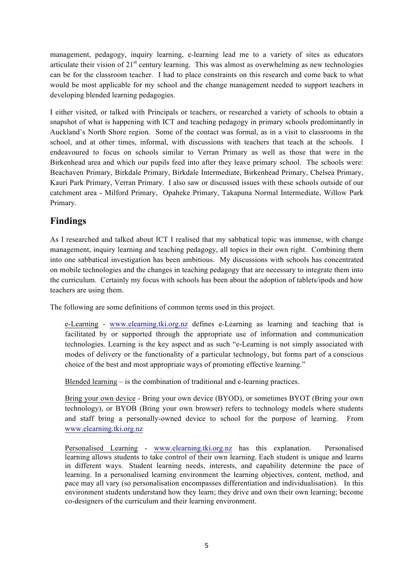management, pedagogy, inquiry learning, e-learning lead me to a variety of sites as educators articulate their vision of  $21<sup>st</sup>$  century learning. This was almost as overwhelming as new technologies can be for the classroom teacher. I had to place constraints on this research and come back to what would be most applicable for my school and the change management needed to support teachers in developing blended learning pedagogies.

I either visited, or talked with Principals or teachers, or researched a variety of schools to obtain a snapshot of what is happening with ICT and teaching pedagogy in primary schools predominantly in Auckland's North Shore region. Some of the contact was formal, as in a visit to classrooms in the school, and at other times, informal, with discussions with teachers that teach at the schools. I endeavoured to focus on schools similar to Verran Primary as well as those that were in the Birkenhead area and which our pupils feed into after they leave primary school. The schools were: Beachaven Primary, Birkdale Primary, Birkdale Intermediate, Birkenhead Primary, Chelsea Primary, Kauri Park Primary, Verran Primary. I also saw or discussed issues with these schools outside of our catchment area - Milford Primary, Opaheke Primary, Takapuna Normal Intermediate, Willow Park Primary.

## **Findings**

As I researched and talked about ICT I realised that my sabbatical topic was immense, with change management, inquiry learning and teaching pedagogy, all topics in their own right. Combining them into one sabbatical investigation has been ambitious. My discussions with schools has concentrated on mobile technologies and the changes in teaching pedagogy that are necessary to integrate them into the curriculum. Certainly my focus with schools has been about the adoption of tablets/ipods and how teachers are using them.

The following are some definitions of common terms used in this project.

e-Learning - www.elearning.tki.org.nz defines e-Learning as learning and teaching that is facilitated by or supported through the appropriate use of information and communication technologies. Learning is the key aspect and as such "e-Learning is not simply associated with modes of delivery or the functionality of a particular technology, but forms part of a conscious choice of the best and most appropriate ways of promoting effective learning."

Blended learning – is the combination of traditional and e-learning practices.

Bring your own device - Bring your own device (BYOD), or sometimes BYOT (Bring your own technology), or BYOB (Bring your own browser) refers to technology models where students and staff bring a personally-owned device to school for the purpose of learning. From www.elearning.tki.org.nz

Personalised Learning - www.elearning.tki.org.nz has this explanation. Personalised learning allows students to take control of their own learning. Each student is unique and learns in different ways. Student learning needs, interests, and capability determine the pace of learning. In a personalised learning environment the learning objectives, content, method, and pace may all vary (so personalisation encompasses differentiation and individualisation). In this environment students understand how they learn; they drive and own their own learning; become co-designers of the curriculum and their learning environment.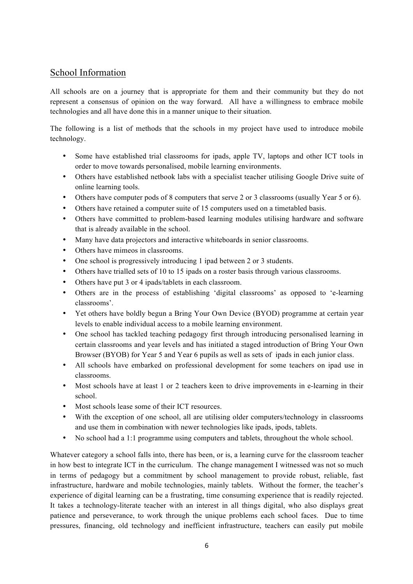## School Information

All schools are on a journey that is appropriate for them and their community but they do not represent a consensus of opinion on the way forward. All have a willingness to embrace mobile technologies and all have done this in a manner unique to their situation.

The following is a list of methods that the schools in my project have used to introduce mobile technology.

- Some have established trial classrooms for ipads, apple TV, laptops and other ICT tools in order to move towards personalised, mobile learning environments.
- Others have established netbook labs with a specialist teacher utilising Google Drive suite of online learning tools.
- Others have computer pods of 8 computers that serve 2 or 3 classrooms (usually Year 5 or 6).
- Others have retained a computer suite of 15 computers used on a timetabled basis.
- Others have committed to problem-based learning modules utilising hardware and software that is already available in the school.
- Many have data projectors and interactive whiteboards in senior classrooms.
- Others have mimeos in classrooms.
- One school is progressively introducing 1 ipad between 2 or 3 students.
- Others have trialled sets of 10 to 15 ipads on a roster basis through various classrooms.
- Others have put 3 or 4 ipads/tablets in each classroom.
- Others are in the process of establishing 'digital classrooms' as opposed to 'e-learning classrooms'.
- Yet others have boldly begun a Bring Your Own Device (BYOD) programme at certain year levels to enable individual access to a mobile learning environment.
- One school has tackled teaching pedagogy first through introducing personalised learning in certain classrooms and year levels and has initiated a staged introduction of Bring Your Own Browser (BYOB) for Year 5 and Year 6 pupils as well as sets of ipads in each junior class.
- All schools have embarked on professional development for some teachers on ipad use in classrooms.
- Most schools have at least 1 or 2 teachers keen to drive improvements in e-learning in their school.
- Most schools lease some of their ICT resources.
- With the exception of one school, all are utilising older computers/technology in classrooms and use them in combination with newer technologies like ipads, ipods, tablets.
- No school had a 1:1 programme using computers and tablets, throughout the whole school.

Whatever category a school falls into, there has been, or is, a learning curve for the classroom teacher in how best to integrate ICT in the curriculum. The change management I witnessed was not so much in terms of pedagogy but a commitment by school management to provide robust, reliable, fast infrastructure, hardware and mobile technologies, mainly tablets. Without the former, the teacher's experience of digital learning can be a frustrating, time consuming experience that is readily rejected. It takes a technology-literate teacher with an interest in all things digital, who also displays great patience and perseverance, to work through the unique problems each school faces. Due to time pressures, financing, old technology and inefficient infrastructure, teachers can easily put mobile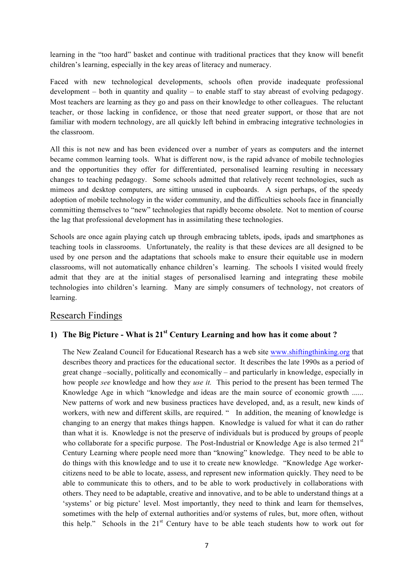learning in the "too hard" basket and continue with traditional practices that they know will benefit children's learning, especially in the key areas of literacy and numeracy.

Faced with new technological developments, schools often provide inadequate professional development – both in quantity and quality – to enable staff to stay abreast of evolving pedagogy. Most teachers are learning as they go and pass on their knowledge to other colleagues. The reluctant teacher, or those lacking in confidence, or those that need greater support, or those that are not familiar with modern technology, are all quickly left behind in embracing integrative technologies in the classroom.

All this is not new and has been evidenced over a number of years as computers and the internet became common learning tools. What is different now, is the rapid advance of mobile technologies and the opportunities they offer for differentiated, personalised learning resulting in necessary changes to teaching pedagogy. Some schools admitted that relatively recent technologies, such as mimeos and desktop computers, are sitting unused in cupboards. A sign perhaps, of the speedy adoption of mobile technology in the wider community, and the difficulties schools face in financially committing themselves to "new" technologies that rapidly become obsolete. Not to mention of course the lag that professional development has in assimilating these technologies.

Schools are once again playing catch up through embracing tablets, ipods, ipads and smartphones as teaching tools in classrooms. Unfortunately, the reality is that these devices are all designed to be used by one person and the adaptations that schools make to ensure their equitable use in modern classrooms, will not automatically enhance children's learning. The schools I visited would freely admit that they are at the initial stages of personalised learning and integrating these mobile technologies into children's learning. Many are simply consumers of technology, not creators of learning.

#### Research Findings

## **1) The Big Picture - What is 21st Century Learning and how has it come about ?**

The New Zealand Council for Educational Research has a web site www.shiftingthinking.org that describes theory and practices for the educational sector. It describes the late 1990s as a period of great change –socially, politically and economically – and particularly in knowledge, especially in how people *see* knowledge and how they *use it.* This period to the present has been termed The Knowledge Age in which "knowledge and ideas are the main source of economic growth ...... New patterns of work and new business practices have developed, and, as a result, new kinds of workers, with new and different skills, are required. " In addition, the meaning of knowledge is changing to an energy that makes things happen. Knowledge is valued for what it can do rather than what it is. Knowledge is not the preserve of individuals but is produced by groups of people who collaborate for a specific purpose. The Post-Industrial or Knowledge Age is also termed 21<sup>st</sup> Century Learning where people need more than "knowing" knowledge. They need to be able to do things with this knowledge and to use it to create new knowledge. "Knowledge Age workercitizens need to be able to locate, assess, and represent new information quickly. They need to be able to communicate this to others, and to be able to work productively in collaborations with others. They need to be adaptable, creative and innovative, and to be able to understand things at a 'systems' or big picture' level. Most importantly, they need to think and learn for themselves, sometimes with the help of external authorities and/or systems of rules, but, more often, without this help." Schools in the  $21<sup>st</sup>$  Century have to be able teach students how to work out for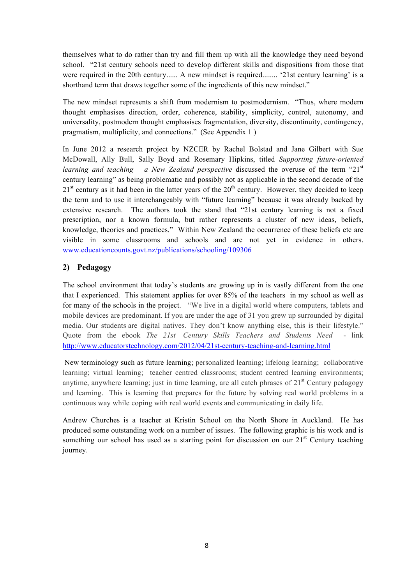themselves what to do rather than try and fill them up with all the knowledge they need beyond school. "21st century schools need to develop different skills and dispositions from those that were required in the 20th century...... A new mindset is required........ '21st century learning' is a shorthand term that draws together some of the ingredients of this new mindset."

The new mindset represents a shift from modernism to postmodernism. "Thus, where modern thought emphasises direction, order, coherence, stability, simplicity, control, autonomy, and universality, postmodern thought emphasises fragmentation, diversity, discontinuity, contingency, pragmatism, multiplicity, and connections." (See Appendix 1 )

In June 2012 a research project by NZCER by Rachel Bolstad and Jane Gilbert with Sue McDowall, Ally Bull, Sally Boyd and Rosemary Hipkins, titled *Supporting future-oriented learning and teaching – a New Zealand perspective* discussed the overuse of the term "21<sup>st</sup> century learning" as being problematic and possibly not as applicable in the second decade of the  $21<sup>st</sup>$  century as it had been in the latter years of the  $20<sup>th</sup>$  century. However, they decided to keep the term and to use it interchangeably with "future learning" because it was already backed by extensive research. The authors took the stand that "21st century learning is not a fixed prescription, nor a known formula, but rather represents a cluster of new ideas, beliefs, knowledge, theories and practices." Within New Zealand the occurrence of these beliefs etc are visible in some classrooms and schools and are not yet in evidence in others. www.educationcounts.govt.nz/publications/schooling/109306

#### **2) Pedagogy**

The school environment that today's students are growing up in is vastly different from the one that I experienced. This statement applies for over 85% of the teachers in my school as well as for many of the schools in the project. "We live in a digital world where computers, tablets and mobile devices are predominant. If you are under the age of 31 you grew up surrounded by digital media. Our students are digital natives. They don't know anything else, this is their lifestyle." Quote from the ebook *The 21st Century Skills Teachers and Students Need* - link http://www.educatorstechnology.com/2012/04/21st-century-teaching-and-learning.html

New terminology such as future learning; personalized learning; lifelong learning; collaborative learning; virtual learning; teacher centred classrooms; student centred learning environments; anytime, anywhere learning; just in time learning, are all catch phrases of  $21<sup>st</sup>$  Century pedagogy and learning. This is learning that prepares for the future by solving real world problems in a continuous way while coping with real world events and communicating in daily life.

Andrew Churches is a teacher at Kristin School on the North Shore in Auckland. He has produced some outstanding work on a number of issues. The following graphic is his work and is something our school has used as a starting point for discussion on our  $21<sup>st</sup>$  Century teaching journey.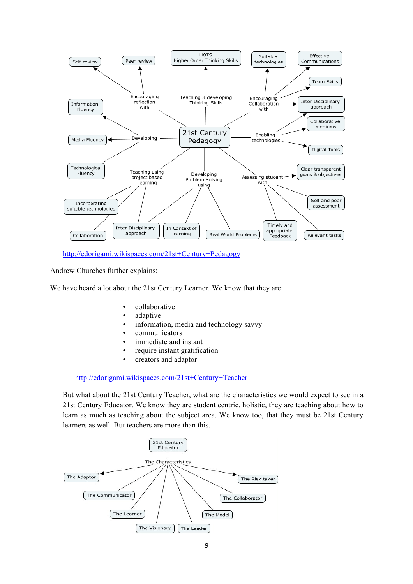

http://edorigami.wikispaces.com/21st+Century+Pedagogy

Andrew Churches further explains:

We have heard a lot about the 21st Century Learner. We know that they are:

- collaborative
- adaptive
- information, media and technology savvy
- communicators
- immediate and instant
- require instant gratification
- creators and adaptor

http://edorigami.wikispaces.com/21st+Century+Teacher

But what about the 21st Century Teacher, what are the characteristics we would expect to see in a 21st Century Educator. We know they are student centric, holistic, they are teaching about how to learn as much as teaching about the subject area. We know too, that they must be 21st Century learners as well. But teachers are more than this.

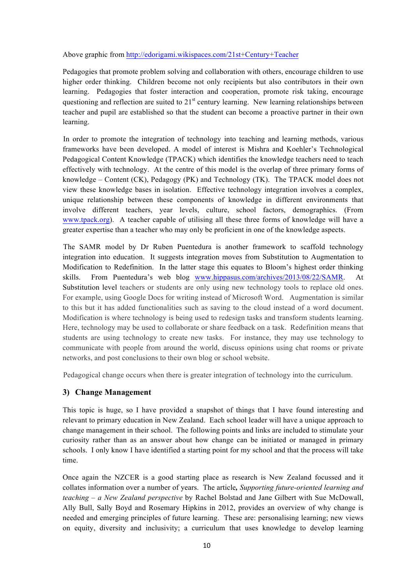Above graphic from http://edorigami.wikispaces.com/21st+Century+Teacher

Pedagogies that promote problem solving and collaboration with others, encourage children to use higher order thinking. Children become not only recipients but also contributors in their own learning. Pedagogies that foster interaction and cooperation, promote risk taking, encourage questioning and reflection are suited to  $21<sup>st</sup>$  century learning. New learning relationships between teacher and pupil are established so that the student can become a proactive partner in their own learning.

In order to promote the integration of technology into teaching and learning methods, various frameworks have been developed. A model of interest is Mishra and Koehler's Technological Pedagogical Content Knowledge (TPACK) which identifies the knowledge teachers need to teach effectively with technology. At the centre of this model is the overlap of three primary forms of knowledge – Content (CK), Pedagogy (PK) and Technology (TK). The TPACK model does not view these knowledge bases in isolation. Effective technology integration involves a complex, unique relationship between these components of knowledge in different environments that involve different teachers, year levels, culture, school factors, demographics. (From www.tpack.org). A teacher capable of utilising all these three forms of knowledge will have a greater expertise than a teacher who may only be proficient in one of the knowledge aspects.

The SAMR model by Dr Ruben Puentedura is another framework to scaffold technology integration into education. It suggests integration moves from Substitution to Augmentation to Modification to Redefinition. In the latter stage this equates to Bloom's highest order thinking skills. From Puentedura's web blog www.hippasus.com/archives/2013/08/22/SAMR. At Substitution level teachers or students are only using new technology tools to replace old ones. For example, using Google Docs for writing instead of Microsoft Word. Augmentation is similar to this but it has added functionalities such as saving to the cloud instead of a word document. Modification is where technology is being used to redesign tasks and transform students learning. Here, technology may be used to collaborate or share feedback on a task. Redefinition means that students are using technology to create new tasks. For instance, they may use technology to communicate with people from around the world, discuss opinions using chat rooms or private networks, and post conclusions to their own blog or school website.

Pedagogical change occurs when there is greater integration of technology into the curriculum.

#### **3) Change Management**

This topic is huge, so I have provided a snapshot of things that I have found interesting and relevant to primary education in New Zealand. Each school leader will have a unique approach to change management in their school. The following points and links are included to stimulate your curiosity rather than as an answer about how change can be initiated or managed in primary schools. I only know I have identified a starting point for my school and that the process will take time.

Once again the NZCER is a good starting place as research is New Zealand focussed and it collates information over a number of years. The article*, Supporting future-oriented learning and teaching – a New Zealand perspective* by Rachel Bolstad and Jane Gilbert with Sue McDowall, Ally Bull, Sally Boyd and Rosemary Hipkins in 2012, provides an overview of why change is needed and emerging principles of future learning. These are: personalising learning; new views on equity, diversity and inclusivity; a curriculum that uses knowledge to develop learning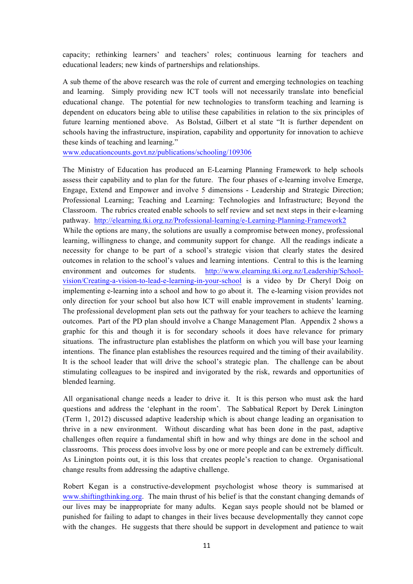capacity; rethinking learners' and teachers' roles; continuous learning for teachers and educational leaders; new kinds of partnerships and relationships.

A sub theme of the above research was the role of current and emerging technologies on teaching and learning. Simply providing new ICT tools will not necessarily translate into beneficial educational change. The potential for new technologies to transform teaching and learning is dependent on educators being able to utilise these capabilities in relation to the six principles of future learning mentioned above. As Bolstad, Gilbert et al state "It is further dependent on schools having the infrastructure, inspiration, capability and opportunity for innovation to achieve these kinds of teaching and learning."

www.educationcounts.govt.nz/publications/schooling/109306

The Ministry of Education has produced an E-Learning Planning Framework to help schools assess their capability and to plan for the future. The four phases of e-learning involve Emerge, Engage, Extend and Empower and involve 5 dimensions - Leadership and Strategic Direction; Professional Learning; Teaching and Learning: Technologies and Infrastructure; Beyond the Classroom. The rubrics created enable schools to self review and set next steps in their e-learning pathway. http://elearning.tki.org.nz/Professional-learning/e-Learning-Planning-Framework2 While the options are many, the solutions are usually a compromise between money, professional learning, willingness to change, and community support for change. All the readings indicate a necessity for change to be part of a school's strategic vision that clearly states the desired outcomes in relation to the school's values and learning intentions. Central to this is the learning environment and outcomes for students. http://www.elearning.tki.org.nz/Leadership/Schoolvision/Creating-a-vision-to-lead-e-learning-in-your-school is a video by Dr Cheryl Doig on implementing e-learning into a school and how to go about it. The e-learning vision provides not only direction for your school but also how ICT will enable improvement in students' learning. The professional development plan sets out the pathway for your teachers to achieve the learning outcomes. Part of the PD plan should involve a Change Management Plan. Appendix 2 shows a graphic for this and though it is for secondary schools it does have relevance for primary situations. The infrastructure plan establishes the platform on which you will base your learning intentions. The finance plan establishes the resources required and the timing of their availability. It is the school leader that will drive the school's strategic plan. The challenge can be about stimulating colleagues to be inspired and invigorated by the risk, rewards and opportunities of blended learning.

All organisational change needs a leader to drive it. It is this person who must ask the hard questions and address the 'elephant in the room'. The Sabbatical Report by Derek Linington (Term 1, 2012) discussed adaptive leadership which is about change leading an organisation to thrive in a new environment. Without discarding what has been done in the past, adaptive challenges often require a fundamental shift in how and why things are done in the school and classrooms. This process does involve loss by one or more people and can be extremely difficult. As Linington points out, it is this loss that creates people's reaction to change. Organisational change results from addressing the adaptive challenge.

Robert Kegan is a constructive-development psychologist whose theory is summarised at www.shiftingthinking.org. The main thrust of his belief is that the constant changing demands of our lives may be inappropriate for many adults. Kegan says people should not be blamed or punished for failing to adapt to changes in their lives because developmentally they cannot cope with the changes. He suggests that there should be support in development and patience to wait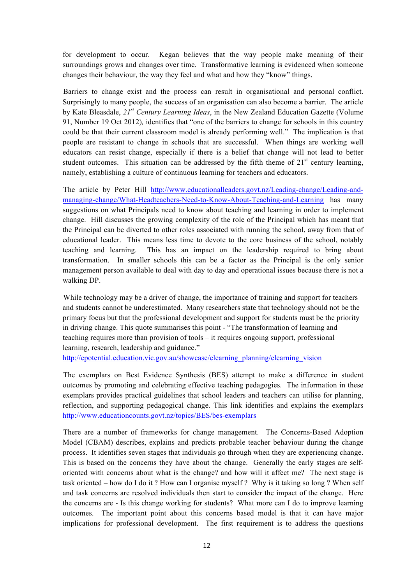for development to occur. Kegan believes that the way people make meaning of their surroundings grows and changes over time. Transformative learning is evidenced when someone changes their behaviour, the way they feel and what and how they "know" things.

Barriers to change exist and the process can result in organisational and personal conflict. Surprisingly to many people, the success of an organisation can also become a barrier. The article by Kate Bleasdale, *21st Century Learning Ideas*, in the New Zealand Education Gazette (Volume 91, Number 19 Oct 2012)*,* identifies that "one of the barriers to change for schools in this country could be that their current classroom model is already performing well." The implication is that people are resistant to change in schools that are successful. When things are working well educators can resist change, especially if there is a belief that change will not lead to better student outcomes. This situation can be addressed by the fifth theme of  $21<sup>st</sup>$  century learning, namely, establishing a culture of continuous learning for teachers and educators.

The article by Peter Hill http://www.educationalleaders.govt.nz/Leading-change/Leading-andmanaging-change/What-Headteachers-Need-to-Know-About-Teaching-and-Learning has many suggestions on what Principals need to know about teaching and learning in order to implement change. Hill discusses the growing complexity of the role of the Principal which has meant that the Principal can be diverted to other roles associated with running the school, away from that of educational leader. This means less time to devote to the core business of the school, notably teaching and learning. This has an impact on the leadership required to bring about transformation. In smaller schools this can be a factor as the Principal is the only senior management person available to deal with day to day and operational issues because there is not a walking DP.

While technology may be a driver of change, the importance of training and support for teachers and students cannot be underestimated. Many researchers state that technology should not be the primary focus but that the professional development and support for students must be the priority in driving change. This quote summarises this point - "The transformation of learning and teaching requires more than provision of tools – it requires ongoing support, professional learning, research, leadership and guidance."

http://epotential.education.vic.gov.au/showcase/elearning\_planning/elearning\_vision

The exemplars on Best Evidence Synthesis (BES) attempt to make a difference in student outcomes by promoting and celebrating effective teaching pedagogies. The information in these exemplars provides practical guidelines that school leaders and teachers can utilise for planning, reflection, and supporting pedagogical change. This link identifies and explains the exemplars http://www.educationcounts.govt.nz/topics/BES/bes-exemplars

There are a number of frameworks for change management. The Concerns-Based Adoption Model (CBAM) describes, explains and predicts probable teacher behaviour during the change process. It identifies seven stages that individuals go through when they are experiencing change. This is based on the concerns they have about the change. Generally the early stages are selforiented with concerns about what is the change? and how will it affect me? The next stage is task oriented – how do I do it ? How can I organise myself ? Why is it taking so long ? When self and task concerns are resolved individuals then start to consider the impact of the change. Here the concerns are - Is this change working for students? What more can I do to improve learning outcomes. The important point about this concerns based model is that it can have major implications for professional development. The first requirement is to address the questions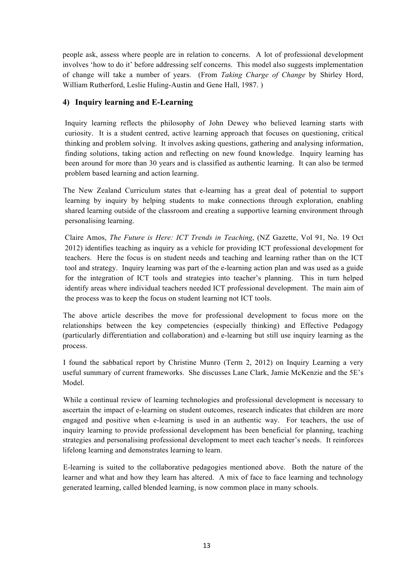people ask, assess where people are in relation to concerns. A lot of professional development involves 'how to do it' before addressing self concerns. This model also suggests implementation of change will take a number of years. (From *Taking Charge of Change* by Shirley Hord, William Rutherford, Leslie Huling-Austin and Gene Hall, 1987. )

#### **4) Inquiry learning and E-Learning**

Inquiry learning reflects the philosophy of John Dewey who believed learning starts with curiosity. It is a student centred, active learning approach that focuses on questioning, critical thinking and problem solving. It involves asking questions, gathering and analysing information, finding solutions, taking action and reflecting on new found knowledge. Inquiry learning has been around for more than 30 years and is classified as authentic learning. It can also be termed problem based learning and action learning.

The New Zealand Curriculum states that e-learning has a great deal of potential to support learning by inquiry by helping students to make connections through exploration, enabling shared learning outside of the classroom and creating a supportive learning environment through personalising learning.

Claire Amos, *The Future is Here: ICT Trends in Teaching*, (NZ Gazette, Vol 91, No. 19 Oct 2012) identifies teaching as inquiry as a vehicle for providing ICT professional development for teachers. Here the focus is on student needs and teaching and learning rather than on the ICT tool and strategy. Inquiry learning was part of the e-learning action plan and was used as a guide for the integration of ICT tools and strategies into teacher's planning. This in turn helped identify areas where individual teachers needed ICT professional development. The main aim of the process was to keep the focus on student learning not ICT tools.

The above article describes the move for professional development to focus more on the relationships between the key competencies (especially thinking) and Effective Pedagogy (particularly differentiation and collaboration) and e-learning but still use inquiry learning as the process.

I found the sabbatical report by Christine Munro (Term 2, 2012) on Inquiry Learning a very useful summary of current frameworks. She discusses Lane Clark, Jamie McKenzie and the 5E's Model.

While a continual review of learning technologies and professional development is necessary to ascertain the impact of e-learning on student outcomes, research indicates that children are more engaged and positive when e-learning is used in an authentic way. For teachers, the use of inquiry learning to provide professional development has been beneficial for planning, teaching strategies and personalising professional development to meet each teacher's needs. It reinforces lifelong learning and demonstrates learning to learn.

E-learning is suited to the collaborative pedagogies mentioned above. Both the nature of the learner and what and how they learn has altered. A mix of face to face learning and technology generated learning, called blended learning, is now common place in many schools.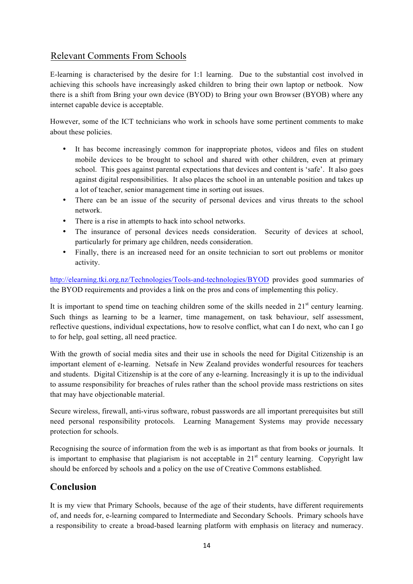## Relevant Comments From Schools

E-learning is characterised by the desire for 1:1 learning. Due to the substantial cost involved in achieving this schools have increasingly asked children to bring their own laptop or netbook. Now there is a shift from Bring your own device (BYOD) to Bring your own Browser (BYOB) where any internet capable device is acceptable.

However, some of the ICT technicians who work in schools have some pertinent comments to make about these policies.

- It has become increasingly common for inappropriate photos, videos and files on student mobile devices to be brought to school and shared with other children, even at primary school. This goes against parental expectations that devices and content is 'safe'. It also goes against digital responsibilities. It also places the school in an untenable position and takes up a lot of teacher, senior management time in sorting out issues.
- There can be an issue of the security of personal devices and virus threats to the school network.
- There is a rise in attempts to hack into school networks.
- The insurance of personal devices needs consideration. Security of devices at school, particularly for primary age children, needs consideration.
- Finally, there is an increased need for an onsite technician to sort out problems or monitor activity.

http://elearning.tki.org.nz/Technologies/Tools-and-technologies/BYOD provides good summaries of the BYOD requirements and provides a link on the pros and cons of implementing this policy.

It is important to spend time on teaching children some of the skills needed in  $21<sup>st</sup>$  century learning. Such things as learning to be a learner, time management, on task behaviour, self assessment, reflective questions, individual expectations, how to resolve conflict, what can I do next, who can I go to for help, goal setting, all need practice.

With the growth of social media sites and their use in schools the need for Digital Citizenship is an important element of e-learning. Netsafe in New Zealand provides wonderful resources for teachers and students. Digital Citizenship is at the core of any e-learning. Increasingly it is up to the individual to assume responsibility for breaches of rules rather than the school provide mass restrictions on sites that may have objectionable material.

Secure wireless, firewall, anti-virus software, robust passwords are all important prerequisites but still need personal responsibility protocols. Learning Management Systems may provide necessary protection for schools.

Recognising the source of information from the web is as important as that from books or journals. It is important to emphasise that plagiarism is not acceptable in  $21<sup>st</sup>$  century learning. Copyright law should be enforced by schools and a policy on the use of Creative Commons established.

## **Conclusion**

It is my view that Primary Schools, because of the age of their students, have different requirements of, and needs for, e-learning compared to Intermediate and Secondary Schools. Primary schools have a responsibility to create a broad-based learning platform with emphasis on literacy and numeracy.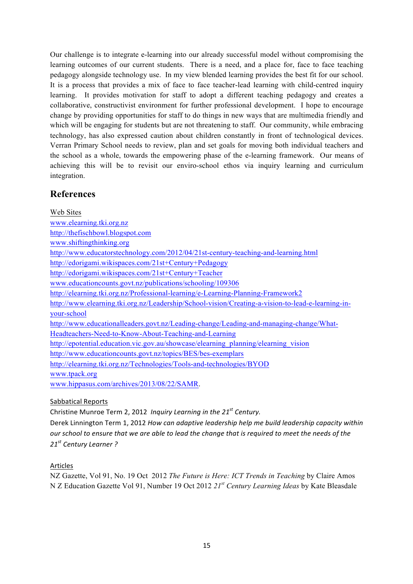Our challenge is to integrate e-learning into our already successful model without compromising the learning outcomes of our current students. There is a need, and a place for, face to face teaching pedagogy alongside technology use. In my view blended learning provides the best fit for our school. It is a process that provides a mix of face to face teacher-lead learning with child-centred inquiry learning. It provides motivation for staff to adopt a different teaching pedagogy and creates a collaborative, constructivist environment for further professional development. I hope to encourage change by providing opportunities for staff to do things in new ways that are multimedia friendly and which will be engaging for students but are not threatening to staff. Our community, while embracing technology, has also expressed caution about children constantly in front of technological devices. Verran Primary School needs to review, plan and set goals for moving both individual teachers and the school as a whole, towards the empowering phase of the e-learning framework. Our means of achieving this will be to revisit our enviro-school ethos via inquiry learning and curriculum integration.

#### **References**

Web Sites www.elearning.tki.org.nz http://thefischbowl.blogspot.com www.shiftingthinking.org http://www.educatorstechnology.com/2012/04/21st-century-teaching-and-learning.html http://edorigami.wikispaces.com/21st+Century+Pedagogy http://edorigami.wikispaces.com/21st+Century+Teacher www.educationcounts.govt.nz/publications/schooling/109306 http://elearning.tki.org.nz/Professional-learning/e-Learning-Planning-Framework2 http://www.elearning.tki.org.nz/Leadership/School-vision/Creating-a-vision-to-lead-e-learning-inyour-school http://www.educationalleaders.govt.nz/Leading-change/Leading-and-managing-change/What-Headteachers-Need-to-Know-About-Teaching-and-Learning http://epotential.education.vic.gov.au/showcase/elearning\_planning/elearning\_vision http://www.educationcounts.govt.nz/topics/BES/bes-exemplars http://elearning.tki.org.nz/Technologies/Tools-and-technologies/BYOD www.tpack.org www.hippasus.com/archives/2013/08/22/SAMR.

Sabbatical Reports

Christine Munroe Term 2, 2012 Inquiry Learning in the 21<sup>st</sup> Century. Derek Linnington Term 1, 2012 *How can adaptive leadership help me build leadership capacity within our* school to ensure that we are able to lead the change that is required to meet the needs of the *21st Century Learner ?*

#### Articles

NZ Gazette, Vol 91, No. 19 Oct 2012 *The Future is Here: ICT Trends in Teaching* by Claire Amos N Z Education Gazette Vol 91, Number 19 Oct 2012 *21st Century Learning Ideas* by Kate Bleasdale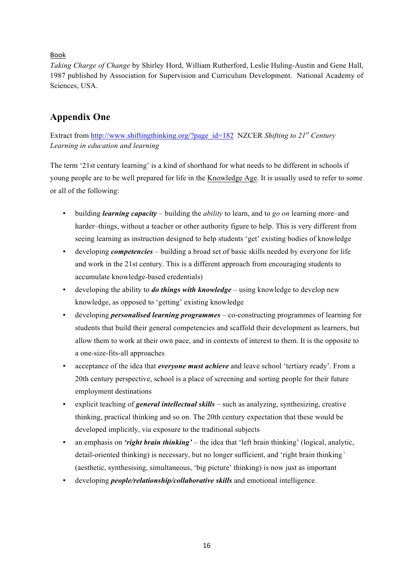#### Book

*Taking Charge of Change* by Shirley Hord, William Rutherford, Leslie Huling-Austin and Gene Hall, 1987 published by Association for Supervision and Curriculum Development. National Academy of Sciences, USA.

## **Appendix One**

Extract from http://www.shiftingthinking.org/?page\_id=182 NZCER *Shifting to 21<sup>st</sup>* Century *Learning in education and learning*

The term '21st century learning' is a kind of shorthand for what needs to be different in schools if young people are to be well prepared for life in the Knowledge Age. It is usually used to refer to some or all of the following:

- building *learning capacity*  building the *ability* to learn, and to *go on* learning more–and harder–things, without a teacher or other authority figure to help. This is very different from seeing learning as instruction designed to help students 'get' existing bodies of knowledge
- developing *competencies*  building a broad set of basic skills needed by everyone for life and work in the 21st century. This is a different approach from encouraging students to accumulate knowledge-based credentials)
- developing the ability to *do things with knowledge*  using knowledge to develop new knowledge, as opposed to 'getting' existing knowledge
- developing *personalised learning programmes* co-constructing programmes of learning for students that build their general competencies and scaffold their development as learners, but allow them to work at their own pace, and in contexts of interest to them. It is the opposite to a one-size-fits-all approaches
- acceptance of the idea that *everyone must achieve* and leave school 'tertiary ready'. From a 20th century perspective, school is a place of screening and sorting people for their future employment destinations
- explicit teaching of *general intellectual skills*  such as analyzing, synthesizing, creative thinking, practical thinking and so on. The 20th century expectation that these would be developed implicitly, via exposure to the traditional subjects
- an emphasis on *'right brain thinking'* the idea that 'left brain thinking' (logical, analytic, detail-oriented thinking) is necessary, but no longer sufficient, and 'right brain thinking*'* (aesthetic, synthesising, simultaneous, 'big picture' thinking) is now just as important
- developing *people/relationship/collaborative skills* and emotional intelligence.